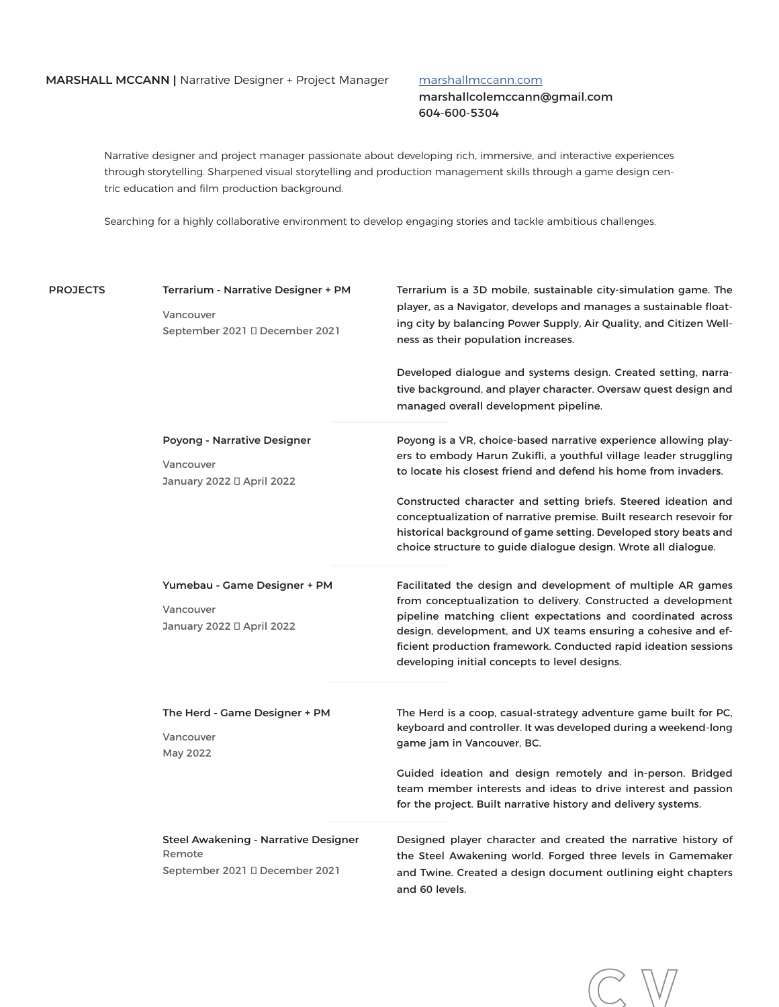### marshallmccann.com

marshallcolemccann@gmail.com 604-600-5304

**C V**

Narrative designer and project manager passionate about developing rich, immersive, and interactive experiences through storytelling. Sharpened visual storytelling and production management skills through a game design centric education and film production background.

Searching for a highly collaborative environment to develop engaging stories and tackle ambitious challenges.

| <b>PROJECTS</b> | Terrarium - Narrative Designer + PM<br>Vancouver<br>September 2021<br>December 2021 | Terrarium is a 3D mobile, sustainable city-simulation game. The<br>player, as a Navigator, develops and manages a sustainable float-<br>ing city by balancing Power Supply, Air Quality, and Citizen Well-<br>ness as their population increases.<br>Developed dialogue and systems design. Created setting, narra-                                                               |  |  |
|-----------------|-------------------------------------------------------------------------------------|-----------------------------------------------------------------------------------------------------------------------------------------------------------------------------------------------------------------------------------------------------------------------------------------------------------------------------------------------------------------------------------|--|--|
|                 |                                                                                     | tive background, and player character. Oversaw quest design and<br>managed overall development pipeline.                                                                                                                                                                                                                                                                          |  |  |
|                 | Poyong - Narrative Designer<br>Vancouver<br>January 2022 April 2022                 | Poyong is a VR, choice-based narrative experience allowing play-<br>ers to embody Harun Zukifli, a youthful village leader struggling<br>to locate his closest friend and defend his home from invaders.                                                                                                                                                                          |  |  |
|                 |                                                                                     | Constructed character and setting briefs. Steered ideation and<br>conceptualization of narrative premise. Built research resevoir for<br>historical background of game setting. Developed story beats and<br>choice structure to guide dialogue design. Wrote all dialogue.                                                                                                       |  |  |
|                 | Yumebau - Game Designer + PM<br>Vancouver<br>January 2022 April 2022                | Facilitated the design and development of multiple AR games<br>from conceptualization to delivery. Constructed a development<br>pipeline matching client expectations and coordinated across<br>design, development, and UX teams ensuring a cohesive and ef-<br>ficient production framework. Conducted rapid ideation sessions<br>developing initial concepts to level designs. |  |  |
|                 | The Herd - Game Designer + PM<br>Vancouver<br>May 2022                              | The Herd is a coop, casual-strategy adventure game built for PC,<br>keyboard and controller. It was developed during a weekend-long<br>game jam in Vancouver, BC.                                                                                                                                                                                                                 |  |  |
|                 |                                                                                     | Guided ideation and design remotely and in-person. Bridged<br>team member interests and ideas to drive interest and passion<br>for the project. Built narrative history and delivery systems.                                                                                                                                                                                     |  |  |
|                 | Steel Awakening - Narrative Designer<br>Remote<br>September 2021 December 2021      | Designed player character and created the narrative history of<br>the Steel Awakening world. Forged three levels in Gamemaker<br>and Twine. Created a design document outlining eight chapters<br>and 60 levels.                                                                                                                                                                  |  |  |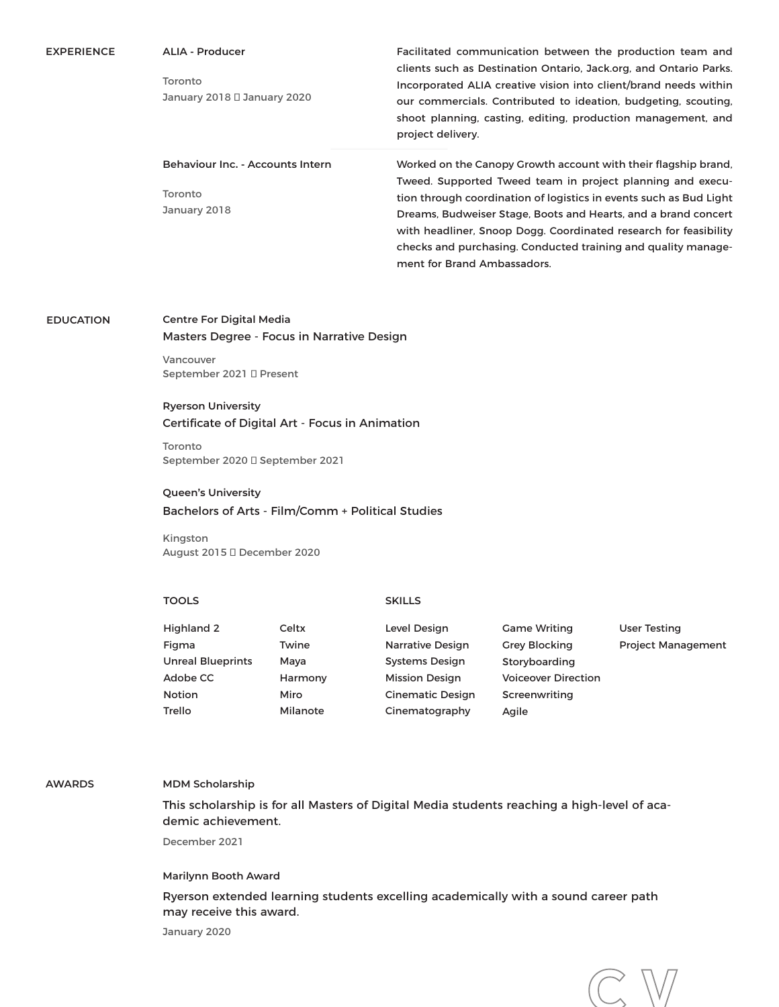| <b>EXPERIENCE</b> | <b>ALIA - Producer</b><br>Toronto<br>January 2018<br>January 2020 | Facilitated communication between the production team and<br>clients such as Destination Ontario, Jack.org, and Ontario Parks.<br>Incorporated ALIA creative vision into client/brand needs within<br>our commercials. Contributed to ideation, budgeting, scouting,<br>shoot planning, casting, editing, production management, and<br>project delivery.              |
|-------------------|-------------------------------------------------------------------|------------------------------------------------------------------------------------------------------------------------------------------------------------------------------------------------------------------------------------------------------------------------------------------------------------------------------------------------------------------------|
|                   | Behaviour Inc. - Accounts Intern                                  | Worked on the Canopy Growth account with their flagship brand,                                                                                                                                                                                                                                                                                                         |
|                   | Toronto<br>January 2018                                           | Tweed. Supported Tweed team in project planning and execu-<br>tion through coordination of logistics in events such as Bud Light<br>Dreams, Budweiser Stage, Boots and Hearts, and a brand concert<br>with headliner, Snoop Dogg. Coordinated research for feasibility<br>checks and purchasing. Conducted training and quality manage-<br>ment for Brand Ambassadors. |

#### **EDUCATION Centre For Digital Media**

Masters Degree - Focus in Narrative Design

Vancouver September 2021 ̶ Present

# **Ryerson University** Certificate of Digital Art - Focus in Animation

Toronto September 2020 ̶ September 2021

## **Queen's University**

Bachelors of Arts - Film/Comm + Political Studies

Kingston August 2015 December 2020

#### **TOOLS SKILLS**

| Highland 2               | Celtx    | Level Design            | <b>Game Writing</b>        | <b>User Testing</b>       |
|--------------------------|----------|-------------------------|----------------------------|---------------------------|
| Figma                    | Twine    | Narrative Design        | <b>Grey Blocking</b>       | <b>Project Management</b> |
| <b>Unreal Blueprints</b> | Mava     | <b>Systems Design</b>   | Storyboarding              |                           |
| Adobe CC                 | Harmony  | <b>Mission Design</b>   | <b>Voiceover Direction</b> |                           |
| <b>Notion</b>            | Miro     | <b>Cinematic Design</b> | Screenwriting              |                           |
| Trello                   | Milanote | Cinematography          | Agile                      |                           |

# **AWARDS MDM Scholarship**

This scholarship is for all Masters of Digital Media students reaching a high-level of academic achievement.

December 2021

### **Marilynn Booth Award**

Ryerson extended learning students excelling academically with a sound career path may receive this award.

January 2020